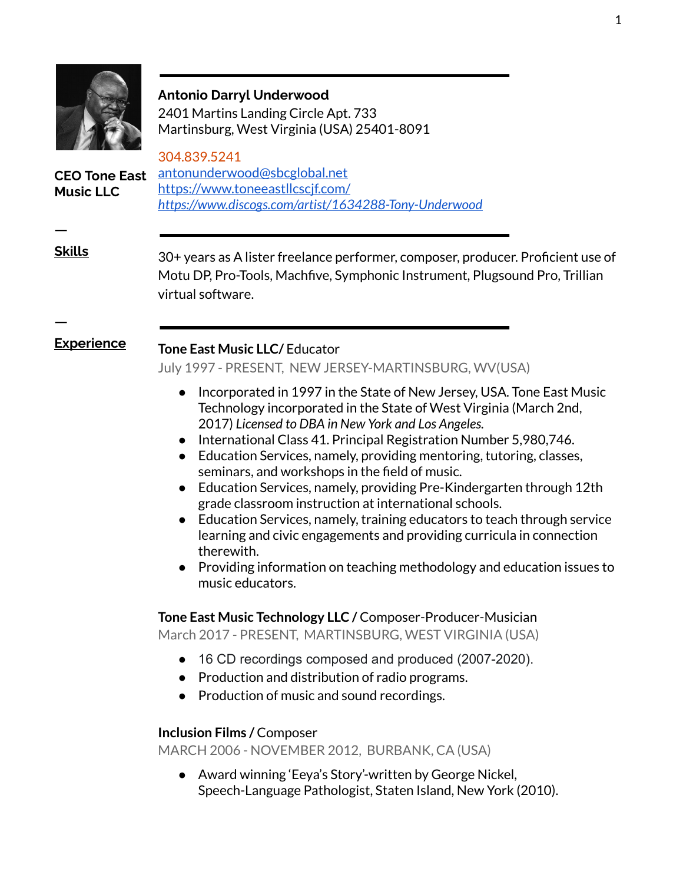

#### **Antonio Darryl Underwood**

2401 Martins Landing Circle Apt. 733 Martinsburg, West Virginia (USA) 25401-8091

**CEO Tone East Music LLC**

304.839.5241 [antonunderwood@sbcglobal.net](mailto:antonunderwood@sbcglobal.net) <https://www.toneeastllcscjf.com/> *<https://www.discogs.com/artist/1634288-Tony-Underwood>*

**ㅡ**

**ㅡ**

**Skills** 30+ years as A lister freelance performer, composer, producer. Proficient use of Motu DP, Pro-Tools, Machfive, Symphonic Instrument, Plugsound Pro, Trillian virtual software.

# **Experience Tone East Music LLC/** Educator

July 1997 - PRESENT, NEW JERSEY-MARTINSBURG, WV(USA)

- Incorporated in 1997 in the State of New Jersey, USA. Tone East Music Technology incorporated in the State of West Virginia (March 2nd, 2017) *Licensed to DBA in New York and Los Angeles.*
- International Class 41. Principal Registration Number 5,980,746.
- Education Services, namely, providing mentoring, tutoring, classes, seminars, and workshops in the field of music.
- Education Services, namely, providing Pre-Kindergarten through 12th grade classroom instruction at international schools.
- Education Services, namely, training educators to teach through service learning and civic engagements and providing curricula in connection therewith.
- Providing information on teaching methodology and education issues to music educators.

**Tone East Music Technology LLC /** Composer-Producer-Musician March 2017 - PRESENT, MARTINSBURG, WEST VIRGINIA (USA)

- 16 CD recordings composed and produced (2007-2020).
- Production and distribution of radio programs.
- Production of music and sound recordings.

# **Inclusion Films /** Composer

MARCH 2006 - NOVEMBER 2012, BURBANK, CA (USA)

● Award winning 'Eeya's Story'-written by George Nickel, Speech-Language Pathologist, Staten Island, New York (2010).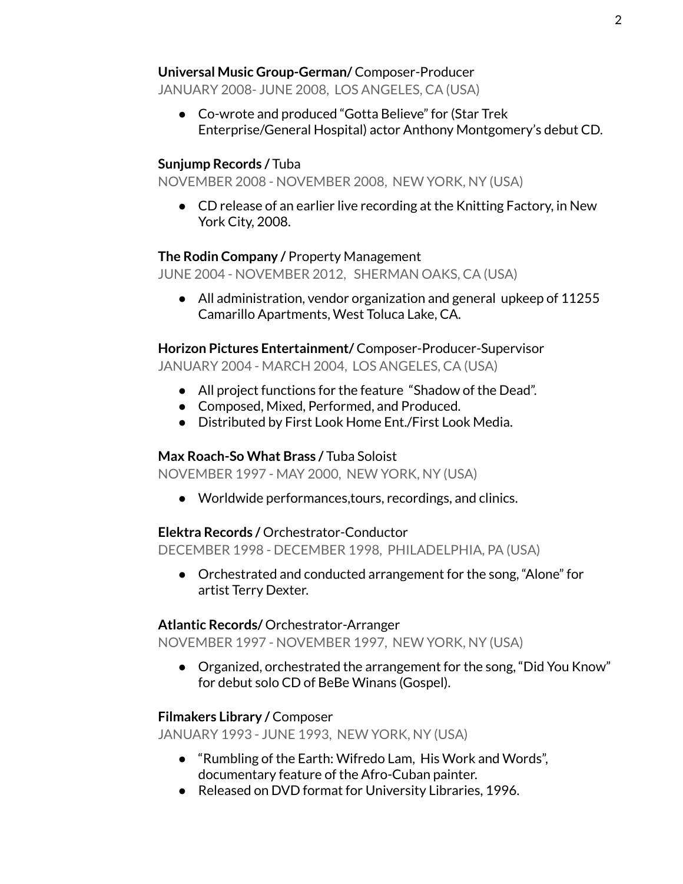# **Universal Music Group-German/** Composer-Producer

JANUARY 2008- JUNE 2008, LOS ANGELES, CA (USA)

● Co-wrote and produced "Gotta Believe" for (Star Trek Enterprise/General Hospital) actor Anthony Montgomery's debut CD.

# **Sunjump Records /** Tuba

NOVEMBER 2008 - NOVEMBER 2008, NEW YORK, NY (USA)

● CD release of an earlier live recording at the Knitting Factory, in New York City, 2008.

# **The Rodin Company /** Property Management

JUNE 2004 - NOVEMBER 2012, SHERMAN OAKS, CA (USA)

• All administration, vendor organization and general upkeep of 11255 Camarillo Apartments, West Toluca Lake, CA.

**Horizon Pictures Entertainment/** Composer-Producer-Supervisor JANUARY 2004 - MARCH 2004, LOS ANGELES, CA (USA)

- All project functions for the feature "Shadow of the Dead".
- Composed, Mixed, Performed, and Produced.
- Distributed by First Look Home Ent./First Look Media.

# **Max Roach-So What Brass /** Tuba Soloist

NOVEMBER 1997 - MAY 2000, NEW YORK, NY (USA)

● Worldwide performances,tours, recordings, and clinics.

# **Elektra Records /** Orchestrator-Conductor

DECEMBER 1998 - DECEMBER 1998, PHILADELPHIA, PA (USA)

● Orchestrated and conducted arrangement for the song, "Alone" for artist Terry Dexter.

# **Atlantic Records/** Orchestrator-Arranger

NOVEMBER 1997 - NOVEMBER 1997, NEW YORK, NY (USA)

• Organized, orchestrated the arrangement for the song, "Did You Know" for debut solo CD of BeBe Winans (Gospel).

# **Filmakers Library /** Composer

JANUARY 1993 - JUNE 1993, NEW YORK, NY (USA)

- "Rumbling of the Earth: Wifredo Lam, His Work and Words", documentary feature of the Afro-Cuban painter.
- Released on DVD format for University Libraries, 1996.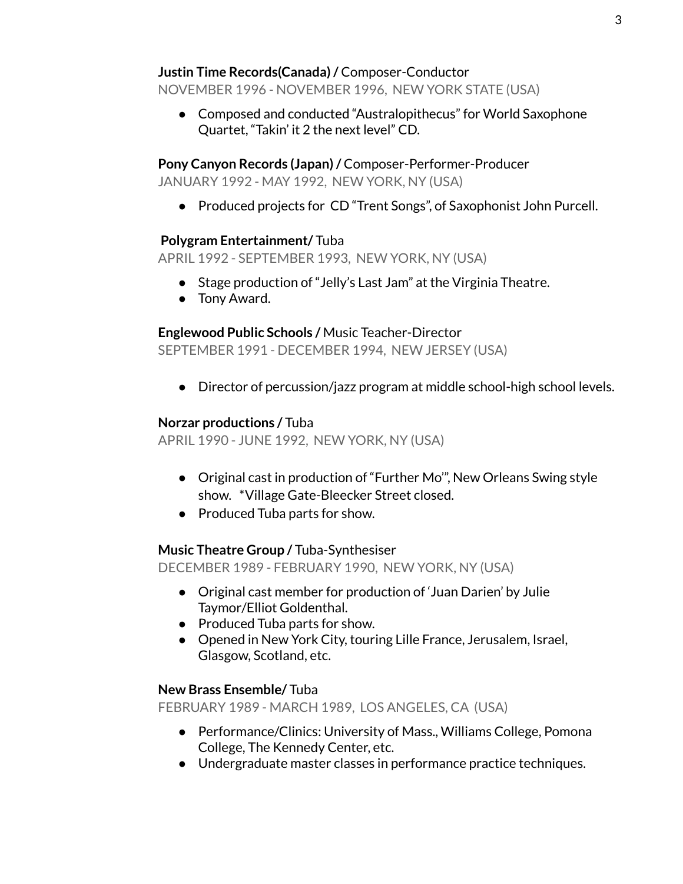#### **Justin Time Records(Canada)/** Composer-Conductor

NOVEMBER 1996 - NOVEMBER 1996, NEW YORK STATE (USA)

● Composed and conducted "Australopithecus" for World Saxophone Quartet, "Takin' it 2 the next level" CD.

**Pony Canyon Records (Japan)/** Composer-Performer-Producer JANUARY 1992 - MAY 1992, NEW YORK, NY (USA)

● Produced projects for CD "Trent Songs", of Saxophonist John Purcell.

#### **Polygram Entertainment/** Tuba

APRIL 1992 - SEPTEMBER 1993, NEW YORK, NY (USA)

- Stage production of "Jelly's Last Jam" at the Virginia Theatre.
- Tony Award.

# **Englewood Public Schools /** Music Teacher-Director

SEPTEMBER 1991 - DECEMBER 1994, NEW JERSEY (USA)

● Director of percussion/jazz program at middle school-high school levels.

#### **Norzar productions /** Tuba

APRIL 1990 - JUNE 1992, NEW YORK, NY (USA)

- Original cast in production of "Further Mo", New Orleans Swing style show. \*Village Gate-Bleecker Street closed.
- Produced Tuba parts for show.

# **Music Theatre Group /** Tuba-Synthesiser

DECEMBER 1989 - FEBRUARY 1990, NEW YORK, NY (USA)

- Original cast member for production of 'Juan Darien' by Julie Taymor/Elliot Goldenthal.
- Produced Tuba parts for show.
- Opened in New York City, touring Lille France, Jerusalem, Israel, Glasgow, Scotland, etc.

#### **New Brass Ensemble/** Tuba

FEBRUARY 1989 - MARCH 1989, LOS ANGELES, CA (USA)

- Performance/Clinics: University of Mass., Williams College, Pomona College, The Kennedy Center, etc.
- Undergraduate master classes in performance practice techniques.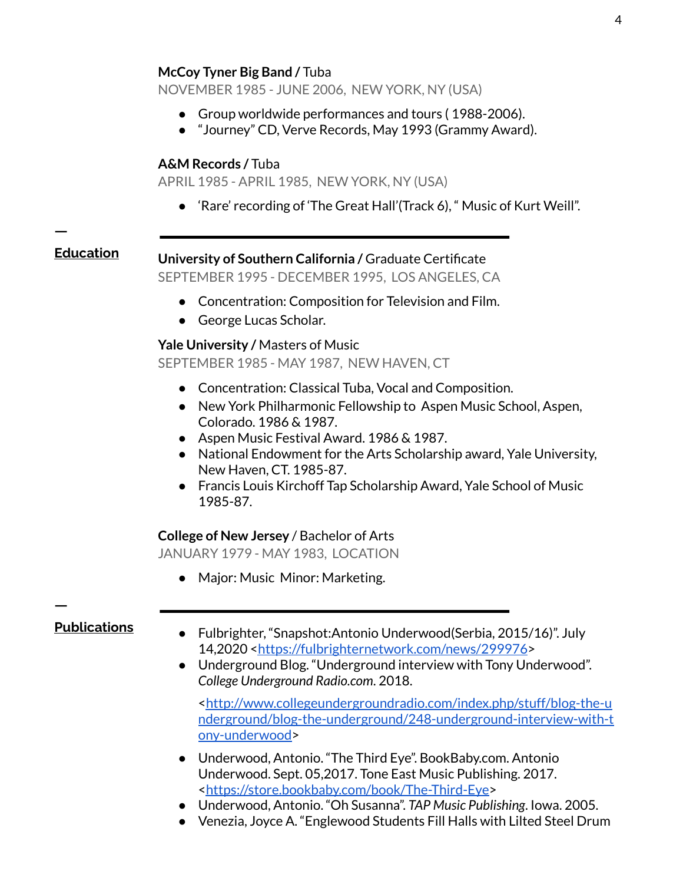NOVEMBER 1985 - JUNE 2006, NEW YORK, NY (USA)

- Group worldwide performances and tours ( 1988-2006).
- "Journey" CD, Verve Records, May 1993 (Grammy Award).

#### **A&M Records /** Tuba

APRIL 1985 - APRIL 1985, NEW YORK, NY (USA)

● 'Rare' recording of 'The Great Hall'(Track 6), " Music of Kurt Weill".

**ㅡ**

# **Education University of Southern California /** Graduate Certificate

SEPTEMBER 1995 - DECEMBER 1995, LOS ANGELES, CA

- Concentration: Composition for Television and Film.
- George Lucas Scholar.

# **Yale University /** Masters of Music

SEPTEMBER 1985 - MAY 1987, NEW HAVEN, CT

- Concentration: Classical Tuba, Vocal and Composition.
- New York Philharmonic Fellowship to Aspen Music School, Aspen, Colorado. 1986 & 1987.
- Aspen Music Festival Award. 1986 & 1987.
- National Endowment for the Arts Scholarship award, Yale University, New Haven, CT. 1985-87.
- Francis Louis Kirchoff Tap Scholarship Award, Yale School of Music 1985-87.

#### **College of New Jersey** / Bachelor of Arts

JANUARY 1979 - MAY 1983, LOCATION

● Major: Music Minor: Marketing.

**ㅡ**

- **Publications** Fulbrighter, "Snapshot:Antonio Underwood(Serbia, 2015/16)". July 14,2020 [<https://fulbrighternetwork.com/news/299976](https://fulbrighternetwork.com/news/299976)>
	- Underground Blog. "Underground interview with Tony Underwood". *College Underground Radio.com*. 2018.

[<http://www.collegeundergroundradio.com/index.php/stuff/blog-the-u](http://www.collegeundergroundradio.com/index.php/stuff/blog-the-underground/blog-the-underground/248-underground-interview-with-tony-underwood) [nderground/blog-the-underground/248-underground-interview-with-t](http://www.collegeundergroundradio.com/index.php/stuff/blog-the-underground/blog-the-underground/248-underground-interview-with-tony-underwood) [ony-underwood >](http://www.collegeundergroundradio.com/index.php/stuff/blog-the-underground/blog-the-underground/248-underground-interview-with-tony-underwood)

- Underwood, Antonio. "The Third Eye". BookBaby.com. Antonio Underwood. Sept. 05,2017. Tone East Music Publishing. 2017. [<https://store.bookbaby.com/book/The-Third-Eye>](https://store.bookbaby.com/book/The-Third-Eye)
- Underwood, Antonio. "Oh Susanna". *TAP Music Publishing*. Iowa. 2005.
- Venezia, Joyce A. "Englewood Students Fill Halls with Lilted Steel Drum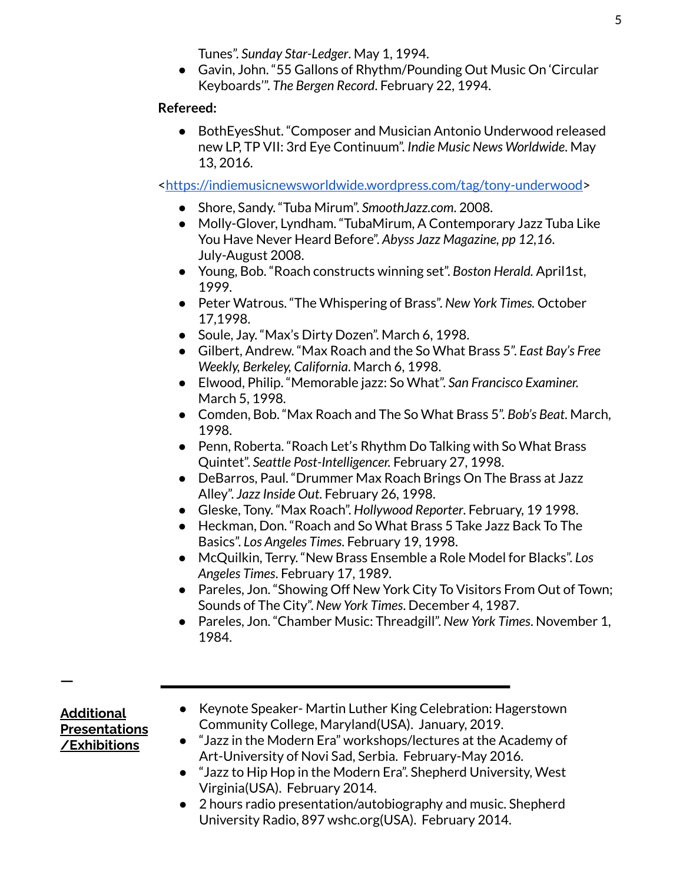Tunes". *Sunday Star-Ledger*. May 1, 1994.

● Gavin, John. "55 Gallons of Rhythm/Pounding Out Music On 'Circular Keyboards'". *The Bergen Record* . February 22, 1994.

# **Refereed:**

● BothEyesShut. "Composer and Musician Antonio Underwood released new LP, TP VII: 3rd Eye Continuum". *Indie Music News Worldwide*. May 13, 2016.

[<https://indiemusicnewsworldwide.wordpress.com/tag/tony-underwood >](https://indiemusicnewsworldwide.wordpress.com/tag/tony-underwood)

- Shore, Sandy. "Tuba Mirum". *SmoothJazz.com*. 2008.
- Molly-Glover, Lyndham. "TubaMirum, A Contemporary Jazz Tuba Like You Have Never Heard Before". *Abyss Jazz Magazine, pp 12,16*. July-August 2008.
- Young, Bob. "Roach constructs winning set". *Boston Herald.* April1st, 1999.
- Peter Watrous. "The Whispering of Brass". *New York Times.* October 17,1998.
- Soule, Jay. "Max's Dirty Dozen". March 6, 1998.
- Gilbert, Andrew. "Max Roach and the So What Brass 5". *East Bay's Free Weekly, Berkeley, California*. March 6, 1998.
- Elwood, Philip. "Memorable jazz: So What". *San Francisco Examiner.* March 5, 1998.
- Comden, Bob. "Max Roach and The So What Brass 5". *Bob's Beat*. March, 1998.
- Penn, Roberta. "Roach Let's Rhythm Do Talking with So What Brass Quintet". *Seattle Post-Intelligencer.* February 27, 1998.
- DeBarros, Paul. "Drummer Max Roach Brings On The Brass at Jazz Alley". *Jazz Inside Out*. February 26, 1998.
- Gleske, Tony. "Max Roach". *Hollywood Reporter*. February, 19 1998.
- Heckman, Don. "Roach and So What Brass 5 Take Jazz Back To The Basics". *Los Angeles Times*. February 19, 1998.
- McQuilkin, Terry. "New Brass Ensemble a Role Model for Blacks". *Los Angeles Times*. February 17, 1989.
- Pareles, Jon. "Showing Off New York City To Visitors From Out of Town; Sounds of The City". *New York Times*. December 4, 1987.
- Pareles, Jon. "Chamber Music: Threadgill". *New York Times*. November 1, 1984.

**Additional Presentations /Exhibitions**

**ㅡ**

- Keynote Speaker- Martin Luther King Celebration: Hagerstown Community College, Maryland(USA). January, 2019.
- "Jazz in the Modern Era" workshops/lectures at the Academy of Art-University of Novi Sad, Serbia. February-May 2016.
- "Jazz to Hip Hop in the Modern Era". Shepherd University, West Virginia(USA). February 2014.
- 2 hours radio presentation/autobiography and music. Shepherd University Radio, 897 wshc.org(USA). February 2014.